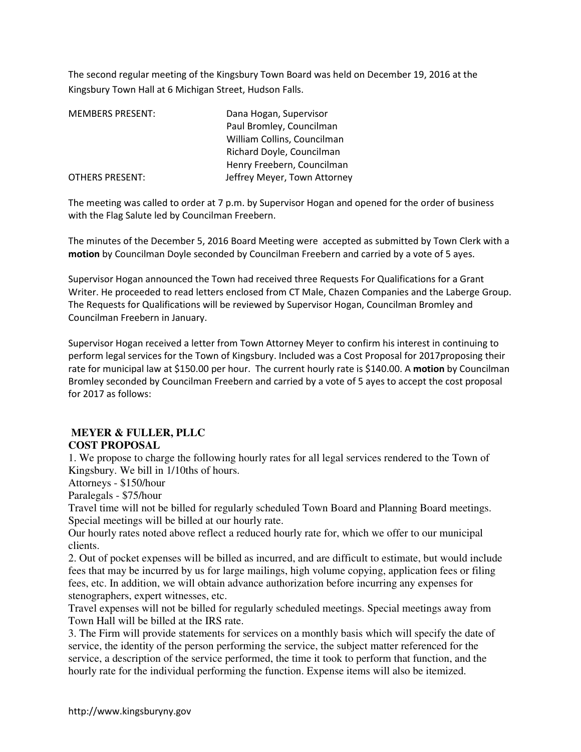The second regular meeting of the Kingsbury Town Board was held on December 19, 2016 at the Kingsbury Town Hall at 6 Michigan Street, Hudson Falls.

| <b>MEMBERS PRESENT:</b> | Dana Hogan, Supervisor       |
|-------------------------|------------------------------|
|                         | Paul Bromley, Councilman     |
|                         | William Collins, Councilman  |
|                         | Richard Doyle, Councilman    |
|                         | Henry Freebern, Councilman   |
| OTHERS PRESENT:         | Jeffrey Meyer, Town Attorney |

The meeting was called to order at 7 p.m. by Supervisor Hogan and opened for the order of business with the Flag Salute led by Councilman Freebern.

The minutes of the December 5, 2016 Board Meeting were accepted as submitted by Town Clerk with a **motion** by Councilman Doyle seconded by Councilman Freebern and carried by a vote of 5 ayes.

Supervisor Hogan announced the Town had received three Requests For Qualifications for a Grant Writer. He proceeded to read letters enclosed from CT Male, Chazen Companies and the Laberge Group. The Requests for Qualifications will be reviewed by Supervisor Hogan, Councilman Bromley and Councilman Freebern in January.

Supervisor Hogan received a letter from Town Attorney Meyer to confirm his interest in continuing to perform legal services for the Town of Kingsbury. Included was a Cost Proposal for 2017proposing their rate for municipal law at \$150.00 per hour. The current hourly rate is \$140.00. A **motion** by Councilman Bromley seconded by Councilman Freebern and carried by a vote of 5 ayes to accept the cost proposal for 2017 as follows:

## **MEYER & FULLER, PLLC COST PROPOSAL**

1. We propose to charge the following hourly rates for all legal services rendered to the Town of Kingsbury. We bill in 1/10ths of hours.

Attorneys - \$150/hour

Paralegals - \$75/hour

Travel time will not be billed for regularly scheduled Town Board and Planning Board meetings. Special meetings will be billed at our hourly rate.

Our hourly rates noted above reflect a reduced hourly rate for, which we offer to our municipal clients.

2. Out of pocket expenses will be billed as incurred, and are difficult to estimate, but would include fees that may be incurred by us for large mailings, high volume copying, application fees or filing fees, etc. In addition, we will obtain advance authorization before incurring any expenses for stenographers, expert witnesses, etc.

Travel expenses will not be billed for regularly scheduled meetings. Special meetings away from Town Hall will be billed at the IRS rate.

3. The Firm will provide statements for services on a monthly basis which will specify the date of service, the identity of the person performing the service, the subject matter referenced for the service, a description of the service performed, the time it took to perform that function, and the hourly rate for the individual performing the function. Expense items will also be itemized.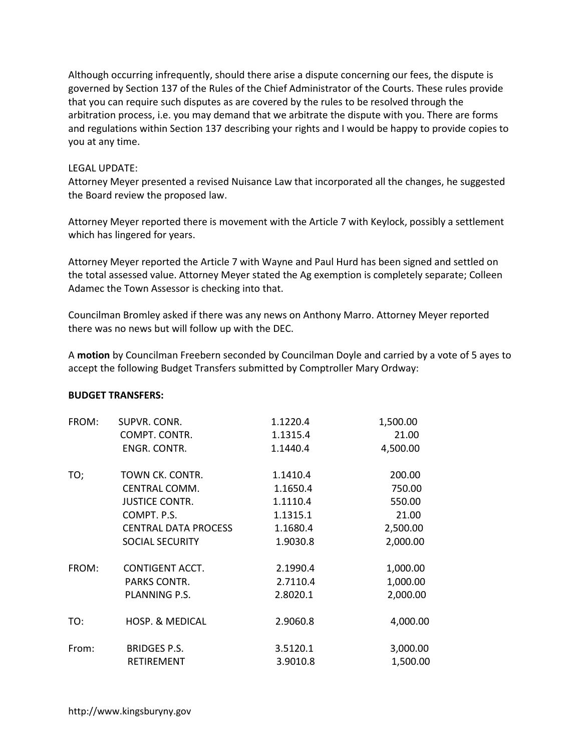Although occurring infrequently, should there arise a dispute concerning our fees, the dispute is governed by Section 137 of the Rules of the Chief Administrator of the Courts. These rules provide that you can require such disputes as are covered by the rules to be resolved through the arbitration process, i.e. you may demand that we arbitrate the dispute with you. There are forms and regulations within Section 137 describing your rights and I would be happy to provide copies to you at any time.

## LEGAL UPDATE:

Attorney Meyer presented a revised Nuisance Law that incorporated all the changes, he suggested the Board review the proposed law.

Attorney Meyer reported there is movement with the Article 7 with Keylock, possibly a settlement which has lingered for years.

Attorney Meyer reported the Article 7 with Wayne and Paul Hurd has been signed and settled on the total assessed value. Attorney Meyer stated the Ag exemption is completely separate; Colleen Adamec the Town Assessor is checking into that.

Councilman Bromley asked if there was any news on Anthony Marro. Attorney Meyer reported there was no news but will follow up with the DEC.

A **motion** by Councilman Freebern seconded by Councilman Doyle and carried by a vote of 5 ayes to accept the following Budget Transfers submitted by Comptroller Mary Ordway:

## **BUDGET TRANSFERS:**

| FROM: | SUPVR. CONR.                | 1.1220.4 | 1,500.00 |
|-------|-----------------------------|----------|----------|
|       | COMPT. CONTR.               | 1.1315.4 | 21.00    |
|       | ENGR. CONTR.                | 1.1440.4 | 4,500.00 |
| TO;   | TOWN CK. CONTR.             | 1.1410.4 | 200.00   |
|       | CENTRAL COMM.               | 1.1650.4 | 750.00   |
|       | <b>JUSTICE CONTR.</b>       | 1.1110.4 | 550.00   |
|       | COMPT. P.S.                 | 1.1315.1 | 21.00    |
|       | <b>CENTRAL DATA PROCESS</b> | 1.1680.4 | 2,500.00 |
|       | <b>SOCIAL SECURITY</b>      | 1.9030.8 | 2,000.00 |
| FROM: | CONTIGENT ACCT.             | 2.1990.4 | 1,000.00 |
|       | PARKS CONTR.                | 2.7110.4 | 1,000.00 |
|       | PLANNING P.S.               | 2.8020.1 | 2,000.00 |
| TO:   | <b>HOSP. &amp; MEDICAL</b>  | 2.9060.8 | 4,000.00 |
| From: | <b>BRIDGES P.S.</b>         | 3.5120.1 | 3,000.00 |
|       | RETIREMENT                  | 3.9010.8 | 1,500.00 |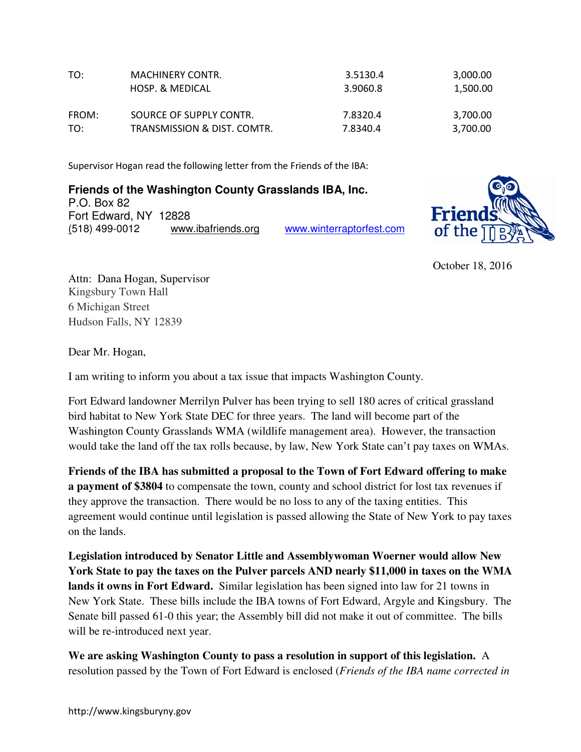| TO:   | <b>MACHINERY CONTR.</b>     | 3.5130.4 | 3,000.00 |
|-------|-----------------------------|----------|----------|
|       | HOSP. & MEDICAL             | 3.9060.8 | 1,500.00 |
| FROM: | SOURCE OF SUPPLY CONTR.     | 7.8320.4 | 3,700.00 |
| TO:   | TRANSMISSION & DIST. COMTR. | 7.8340.4 | 3,700.00 |

Supervisor Hogan read the following letter from the Friends of the IBA:

**Friends of the Washington County Grasslands IBA, Inc.** P.O. Box 82 Fort Edward, NY 12828 (518) 499-0012 www.ibafriends.org www.winterraptorfest.com



October 18, 2016

Attn: Dana Hogan, Supervisor Kingsbury Town Hall 6 Michigan Street Hudson Falls, NY 12839

Dear Mr. Hogan,

I am writing to inform you about a tax issue that impacts Washington County.

Fort Edward landowner Merrilyn Pulver has been trying to sell 180 acres of critical grassland bird habitat to New York State DEC for three years. The land will become part of the Washington County Grasslands WMA (wildlife management area). However, the transaction would take the land off the tax rolls because, by law, New York State can't pay taxes on WMAs.

**Friends of the IBA has submitted a proposal to the Town of Fort Edward offering to make a payment of \$3804** to compensate the town, county and school district for lost tax revenues if they approve the transaction.There would be no loss to any of the taxing entities. This agreement would continue until legislation is passed allowing the State of New York to pay taxes on the lands.

**Legislation introduced by Senator Little and Assemblywoman Woerner would allow New York State to pay the taxes on the Pulver parcels AND nearly \$11,000 in taxes on the WMA lands it owns in Fort Edward.** Similar legislation has been signed into law for 21 towns in New York State. These bills include the IBA towns of Fort Edward, Argyle and Kingsbury. The Senate bill passed 61-0 this year; the Assembly bill did not make it out of committee. The bills will be re-introduced next year.

**We are asking Washington County to pass a resolution in support of this legislation.** A resolution passed by the Town of Fort Edward is enclosed (*Friends of the IBA name corrected in*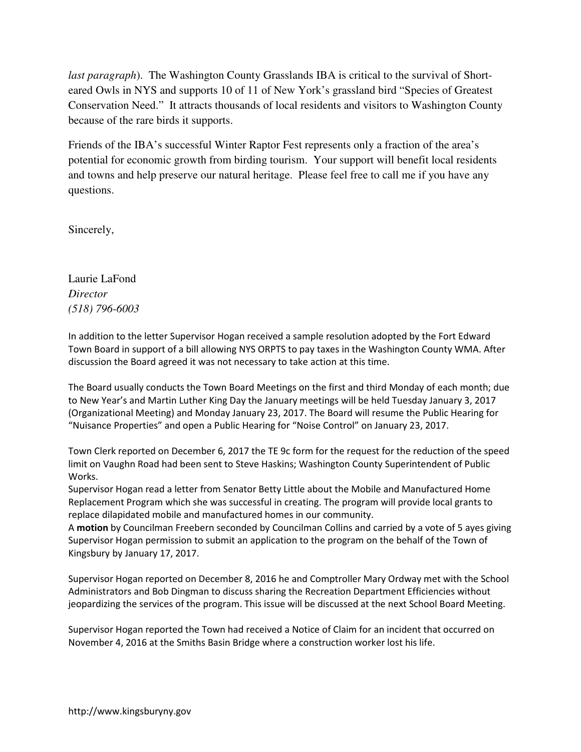*last paragraph*). The Washington County Grasslands IBA is critical to the survival of Shorteared Owls in NYS and supports 10 of 11 of New York's grassland bird "Species of Greatest Conservation Need." It attracts thousands of local residents and visitors to Washington County because of the rare birds it supports.

Friends of the IBA's successful Winter Raptor Fest represents only a fraction of the area's potential for economic growth from birding tourism. Your support will benefit local residents and towns and help preserve our natural heritage. Please feel free to call me if you have any questions.

Sincerely,

Laurie LaFond *Director (518) 796-6003* 

In addition to the letter Supervisor Hogan received a sample resolution adopted by the Fort Edward Town Board in support of a bill allowing NYS ORPTS to pay taxes in the Washington County WMA. After discussion the Board agreed it was not necessary to take action at this time.

The Board usually conducts the Town Board Meetings on the first and third Monday of each month; due to New Year's and Martin Luther King Day the January meetings will be held Tuesday January 3, 2017 (Organizational Meeting) and Monday January 23, 2017. The Board will resume the Public Hearing for "Nuisance Properties" and open a Public Hearing for "Noise Control" on January 23, 2017.

Town Clerk reported on December 6, 2017 the TE 9c form for the request for the reduction of the speed limit on Vaughn Road had been sent to Steve Haskins; Washington County Superintendent of Public Works.

Supervisor Hogan read a letter from Senator Betty Little about the Mobile and Manufactured Home Replacement Program which she was successful in creating. The program will provide local grants to replace dilapidated mobile and manufactured homes in our community.

A **motion** by Councilman Freebern seconded by Councilman Collins and carried by a vote of 5 ayes giving Supervisor Hogan permission to submit an application to the program on the behalf of the Town of Kingsbury by January 17, 2017.

Supervisor Hogan reported on December 8, 2016 he and Comptroller Mary Ordway met with the School Administrators and Bob Dingman to discuss sharing the Recreation Department Efficiencies without jeopardizing the services of the program. This issue will be discussed at the next School Board Meeting.

Supervisor Hogan reported the Town had received a Notice of Claim for an incident that occurred on November 4, 2016 at the Smiths Basin Bridge where a construction worker lost his life.